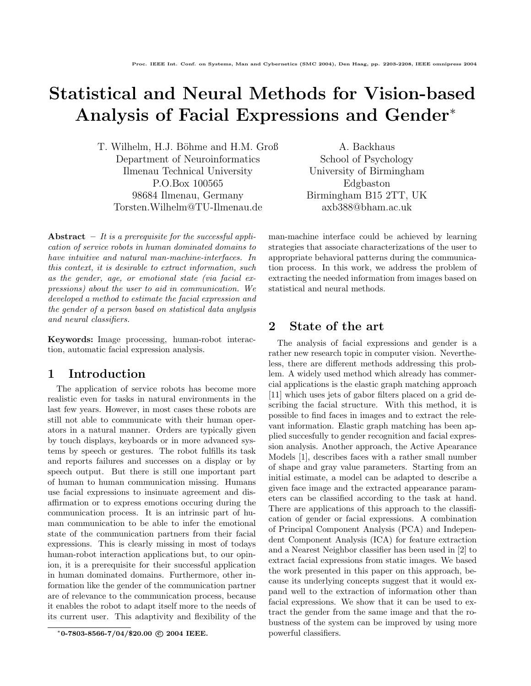# Statistical and Neural Methods for Vision-based Analysis of Facial Expressions and Gender<sup>∗</sup>

T. Wilhelm, H.J. Böhme and H.M. Groß Department of Neuroinformatics Ilmenau Technical University P.O.Box 100565 98684 Ilmenau, Germany Torsten.Wilhelm@TU-Ilmenau.de

Abstract – It is a prerequisite for the successful application of service robots in human dominated domains to have intuitive and natural man-machine-interfaces. In this context, it is desirable to extract information, such as the gender, age, or emotional state (via facial expressions) about the user to aid in communication. We developed a method to estimate the facial expression and the gender of a person based on statistical data anylysis and neural classifiers.

Keywords: Image processing, human-robot interaction, automatic facial expression analysis.

### 1 Introduction

The application of service robots has become more realistic even for tasks in natural environments in the last few years. However, in most cases these robots are still not able to communicate with their human operators in a natural manner. Orders are typically given by touch displays, keyboards or in more advanced systems by speech or gestures. The robot fulfills its task and reports failures and successes on a display or by speech output. But there is still one important part of human to human communication missing. Humans use facial expressions to insinuate agreement and disaffirmation or to express emotions occuring during the communication process. It is an intrinsic part of human communication to be able to infer the emotional state of the communication partners from their facial expressions. This is clearly missing in most of todays human-robot interaction applications but, to our opinion, it is a prerequisite for their successful application in human dominated domains. Furthermore, other information like the gender of the communication partner are of relevance to the communication process, because it enables the robot to adapt itself more to the needs of its current user. This adaptivity and flexibility of the

A. Backhaus School of Psychology University of Birmingham Edgbaston Birmingham B15 2TT, UK axb388@bham.ac.uk

man-machine interface could be achieved by learning strategies that associate characterizations of the user to appropriate behavioral patterns during the communication process. In this work, we address the problem of extracting the needed information from images based on statistical and neural methods.

## 2 State of the art

The analysis of facial expressions and gender is a rather new research topic in computer vision. Nevertheless, there are different methods addressing this problem. A widely used method which already has commercial applications is the elastic graph matching approach [11] which uses jets of gabor filters placed on a grid describing the facial structure. With this method, it is possible to find faces in images and to extract the relevant information. Elastic graph matching has been applied succesfully to gender recognition and facial expression analysis. Another approach, the Active Apearance Models [1], describes faces with a rather small number of shape and gray value parameters. Starting from an initial estimate, a model can be adapted to describe a given face image and the extracted appearance parameters can be classified according to the task at hand. There are applications of this approach to the classification of gender or facial expressions. A combination of Principal Component Analysis (PCA) and Independent Component Analysis (ICA) for feature extraction and a Nearest Neighbor classifier has been used in [2] to extract facial expressions from static images. We based the work presented in this paper on this approach, because its underlying concepts suggest that it would expand well to the extraction of information other than facial expressions. We show that it can be used to extract the gender from the same image and that the robustness of the system can be improved by using more powerful classifiers.

<sup>\*0-7803-8566-7/04/\$20.00 © 2004</sup> IEEE.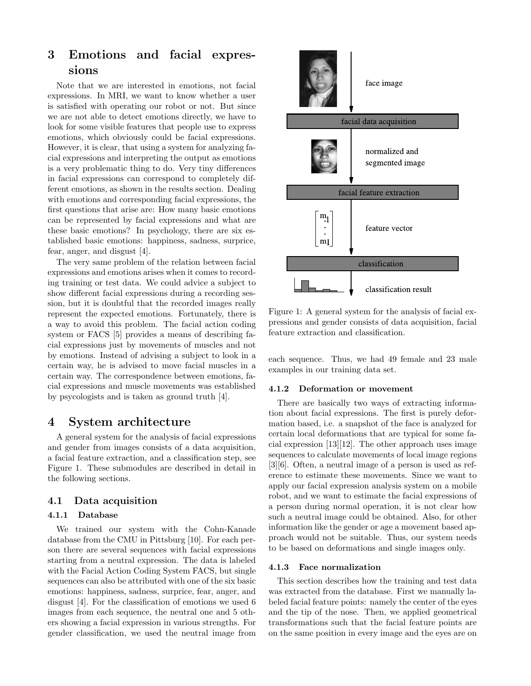# 3 Emotions and facial expressions

Note that we are interested in emotions, not facial expressions. In MRI, we want to know whether a user is satisfied with operating our robot or not. But since we are not able to detect emotions directly, we have to look for some visible features that people use to express emotions, which obviously could be facial expressions. However, it is clear, that using a system for analyzing facial expressions and interpreting the output as emotions is a very problematic thing to do. Very tiny differences in facial expressions can correspond to completely different emotions, as shown in the results section. Dealing with emotions and corresponding facial expressions, the first questions that arise are: How many basic emotions can be represented by facial expressions and what are these basic emotions? In psychology, there are six established basic emotions: happiness, sadness, surprice, fear, anger, and disgust [4].

The very same problem of the relation between facial expressions and emotions arises when it comes to recording training or test data. We could advice a subject to show different facial expressions during a recording session, but it is doubtful that the recorded images really represent the expected emotions. Fortunately, there is a way to avoid this problem. The facial action coding system or FACS [5] provides a means of describing facial expressions just by movements of muscles and not by emotions. Instead of advising a subject to look in a certain way, he is advised to move facial muscles in a certain way. The correspondence between emotions, facial expressions and muscle movements was established by psycologists and is taken as ground truth [4].

# 4 System architecture

A general system for the analysis of facial expressions and gender from images consists of a data acquisition, a facial feature extraction, and a classification step, see Figure 1. These submodules are described in detail in the following sections.

### 4.1 Data acquisition

#### 4.1.1 Database

We trained our system with the Cohn-Kanade database from the CMU in Pittsburg [10]. For each person there are several sequences with facial expressions starting from a neutral expression. The data is labeled with the Facial Action Coding System FACS, but single sequences can also be attributed with one of the six basic emotions: happiness, sadness, surprice, fear, anger, and disgust [4]. For the classification of emotions we used 6 images from each sequence, the neutral one and 5 others showing a facial expression in various strengths. For gender classification, we used the neutral image from



Figure 1: A general system for the analysis of facial expressions and gender consists of data acquisition, facial feature extraction and classification.

each sequence. Thus, we had 49 female and 23 male examples in our training data set.

#### 4.1.2 Deformation or movement

There are basically two ways of extracting information about facial expressions. The first is purely deformation based, i.e. a snapshot of the face is analyzed for certain local deformations that are typical for some facial expression [13][12]. The other approach uses image sequences to calculate movements of local image regions [3][6]. Often, a neutral image of a person is used as reference to estimate these movements. Since we want to apply our facial expression analysis system on a mobile robot, and we want to estimate the facial expressions of a person during normal operation, it is not clear how such a neutral image could be obtained. Also, for other information like the gender or age a movement based approach would not be suitable. Thus, our system needs to be based on deformations and single images only.

#### 4.1.3 Face normalization

This section describes how the training and test data was extracted from the database. First we manually labeled facial feature points: namely the center of the eyes and the tip of the nose. Then, we applied geometrical transformations such that the facial feature points are on the same position in every image and the eyes are on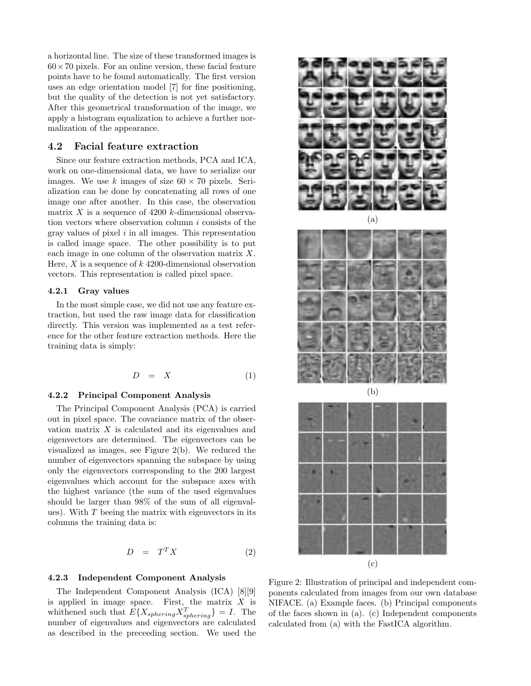a horizontal line. The size of these transformed images is  $60 \times 70$  pixels. For an online version, these facial feature points have to be found automatically. The first version uses an edge orientation model [7] for fine positioning, but the quality of the detection is not yet satisfactory. After this geometrical transformation of the image, we apply a histogram equalization to achieve a further normalization of the appearance.

#### 4.2 Facial feature extraction

Since our feature extraction methods, PCA and ICA, work on one-dimensional data, we have to serialize our images. We use k images of size  $60 \times 70$  pixels. Serialization can be done by concatenating all rows of one image one after another. In this case, the observation matrix X is a sequence of 4200 k-dimensional observation vectors where observation column  $i$  consists of the gray values of pixel  $i$  in all images. This representation is called image space. The other possibility is to put each image in one column of the observation matrix X. Here, X is a sequence of  $k$  4200-dimensional observation vectors. This representation is called pixel space.

#### 4.2.1 Gray values

In the most simple case, we did not use any feature extraction, but used the raw image data for classification directly. This version was implemented as a test reference for the other feature extraction methods. Here the training data is simply:

$$
D = X \tag{1}
$$

#### 4.2.2 Principal Component Analysis

The Principal Component Analysis (PCA) is carried out in pixel space. The covariance matrix of the observation matrix  $X$  is calculated and its eigenvalues and eigenvectors are determined. The eigenvectors can be visualized as images, see Figure 2(b). We reduced the number of eigenvectors spanning the subspace by using only the eigenvectors corresponding to the 200 largest eigenvalues which account for the subspace axes with the highest variance (the sum of the used eigenvalues should be larger than 98% of the sum of all eigenvalues). With  $T$  beeing the matrix with eigenvectors in its columns the training data is:

$$
D = T^T X \tag{2}
$$

#### 4.2.3 Independent Component Analysis

The Independent Component Analysis (ICA) [8][9] is applied in image space. First, the matrix  $X$  is whithened such that  $E\{X_{sphering}X_{sphering}^T\} = I$ . The number of eigenvalues and eigenvectors are calculated as described in the preceeding section. We used the







Figure 2: Illustration of principal and independent components calculated from images from our own database NIFACE. (a) Example faces. (b) Principal components of the faces shown in (a). (c) Independent components calculated from (a) with the FastICA algorithm.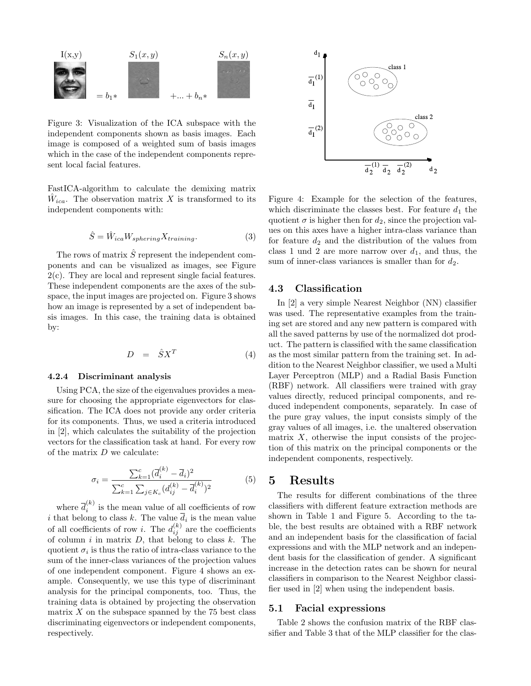

Figure 3: Visualization of the ICA subspace with the independent components shown as basis images. Each image is composed of a weighted sum of basis images which in the case of the independent components represent local facial features.

FastICA-algorithm to calculate the demixing matrix  $\hat{W}_{ica}$ . The observation matrix X is transformed to its independent components with:

$$
\hat{S} = \hat{W}_{ica} W_{sphering} X_{training}.
$$
\n(3)

The rows of matrix  $\hat{S}$  represent the independent components and can be visualized as images, see Figure 2(c). They are local and represent single facial features. These independent components are the axes of the subspace, the input images are projected on. Figure 3 shows how an image is represented by a set of independent basis images. In this case, the training data is obtained by:

$$
D = \hat{S}X^T \tag{4}
$$

#### 4.2.4 Discriminant analysis

Using PCA, the size of the eigenvalues provides a measure for choosing the appropriate eigenvectors for classification. The ICA does not provide any order criteria for its components. Thus, we used a criteria introduced in [2], which calculates the suitability of the projection vectors for the classification task at hand. For every row of the matrix D we calculate:

$$
\sigma_i = \frac{\sum_{k=1}^{c} (\overline{d}_i^{(k)} - \overline{d}_i)^2}{\sum_{k=1}^{c} \sum_{j \in K_c} (d_{ij}^{(k)} - \overline{d}_i^{(k)})^2}
$$
(5)

where  $\overline{d}_i^{(k)}$  $\sum_{i=1}^{N}$  is the mean value of all coefficients of row i that belong to class k. The value  $d_i$  is the mean value of all coefficients of row *i*. The  $d_{ij}^{(k)}$  are the coefficients of column i in matrix  $D$ , that belong to class  $k$ . The quotient  $\sigma_i$  is thus the ratio of intra-class variance to the sum of the inner-class variances of the projection values of one independent component. Figure 4 shows an example. Consequently, we use this type of discriminant analysis for the principal components, too. Thus, the training data is obtained by projecting the observation matrix  $X$  on the subspace spanned by the 75 best class discriminating eigenvectors or independent components, respectively.



Figure 4: Example for the selection of the features, which discriminate the classes best. For feature  $d_1$  the quotient  $\sigma$  is higher then for  $d_2$ , since the projection values on this axes have a higher intra-class variance than for feature  $d_2$  and the distribution of the values from class 1 und 2 are more narrow over  $d_1$ , and thus, the sum of inner-class variances is smaller than for  $d_2$ .

#### 4.3 Classification

In [2] a very simple Nearest Neighbor (NN) classifier was used. The representative examples from the training set are stored and any new pattern is compared with all the saved patterns by use of the normalized dot product. The pattern is classified with the same classification as the most similar pattern from the training set. In addition to the Nearest Neighbor classifier, we used a Multi Layer Perceptron (MLP) and a Radial Basis Function (RBF) network. All classifiers were trained with gray values directly, reduced principal components, and reduced independent components, separately. In case of the pure gray values, the input consists simply of the gray values of all images, i.e. the unaltered observation matrix  $X$ , otherwise the input consists of the projection of this matrix on the principal components or the independent components, respectively.

### 5 Results

The results for different combinations of the three classifiers with different feature extraction methods are shown in Table 1 and Figure 5. According to the table, the best results are obtained with a RBF network and an independent basis for the classification of facial expressions and with the MLP network and an independent basis for the classification of gender. A significant increase in the detection rates can be shown for neural classifiers in comparison to the Nearest Neighbor classifier used in [2] when using the independent basis.

#### 5.1 Facial expressions

Table 2 shows the confusion matrix of the RBF classifier and Table 3 that of the MLP classifier for the clas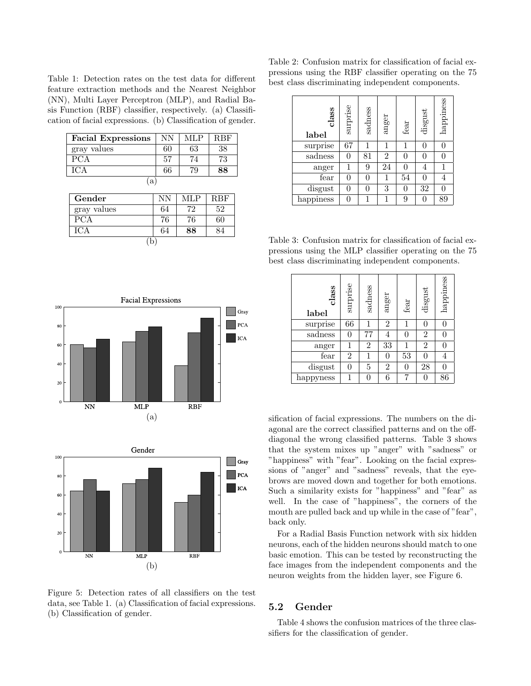Table 1: Detection rates on the test data for different feature extraction methods and the Nearest Neighbor (NN), Multi Layer Perceptron (MLP), and Radial Basis Function (RBF) classifier, respectively. (a) Classification of facial expressions. (b) Classification of gender.

| <b>Facial Expressions</b> | <b>NN</b> | <b>MLP</b> | <b>RBF</b> |  |  |  |  |
|---------------------------|-----------|------------|------------|--|--|--|--|
| gray values               | 60        | 63         | 38         |  |  |  |  |
| $\overline{PCA}$          | 57        | 74         | 73         |  |  |  |  |
| <b>ICA</b>                | 66        | 79         | 88         |  |  |  |  |
| $^{\prime}a$              |           |            |            |  |  |  |  |
| Gender                    | NN        | <b>MLP</b> | RBF        |  |  |  |  |
| gray values               | 64        | 72         | 52         |  |  |  |  |
| $\overline{PCA}$          | 76        | 76         | 60         |  |  |  |  |
| ICA                       | 64        | 88         | 84         |  |  |  |  |

| $\sim$ |  |
|--------|--|
|        |  |





Figure 5: Detection rates of all classifiers on the test data, see Table 1. (a) Classification of facial expressions. (b) Classification of gender.

Table 2: Confusion matrix for classification of facial expressions using the RBF classifier operating on the 75 best class discriminating independent components.

| class<br>label | surprise | sadness | anger          | fear | disgust | happiness      |
|----------------|----------|---------|----------------|------|---------|----------------|
| surprise       | 67       |         | 1              | 1    |         |                |
| sadness        | 0        | 81      | $\overline{2}$ |      |         | 0              |
| anger          |          | 9       | 24             |      |         |                |
| fear           | 0        |         | 1              | 54   |         | $\overline{4}$ |
| disgust        | 0        |         | 3              |      | 32      | ſ              |
| happiness      |          |         | 1              | 9    |         | 89             |

Table 3: Confusion matrix for classification of facial expressions using the MLP classifier operating on the 75 best class discriminating independent components.

| class<br>label | surprise       | sadness        | anger          | fear      | $_{\rm dissust}$ | happiness |
|----------------|----------------|----------------|----------------|-----------|------------------|-----------|
| surprise       | 66             |                | $\overline{2}$ | 1         |                  | 0         |
| sadness        | 0              | 77             | 4              | $\bigcap$ | $\overline{2}$   | 0         |
| anger          | 1              | $\overline{2}$ | 33             |           | $\overline{2}$   | 0         |
| fear           | $\overline{2}$ |                | 0              | 53        |                  | 4         |
| disgust        | 0              | 5              | $\overline{2}$ | $\Box$    | 28               |           |
| happyness      | 1              |                | 6              |           |                  | 86        |

sification of facial expressions. The numbers on the diagonal are the correct classified patterns and on the offdiagonal the wrong classified patterns. Table 3 shows that the system mixes up "anger" with "sadness" or "happiness" with "fear". Looking on the facial expressions of "anger" and "sadness" reveals, that the eyebrows are moved down and together for both emotions. Such a similarity exists for "happiness" and "fear" as well. In the case of "happiness", the corners of the mouth are pulled back and up while in the case of "fear", back only.

For a Radial Basis Function network with six hidden neurons, each of the hidden neurons should match to one basic emotion. This can be tested by reconstructing the face images from the independent components and the neuron weights from the hidden layer, see Figure 6.

#### 5.2 Gender

Table 4 shows the confusion matrices of the three classifiers for the classification of gender.